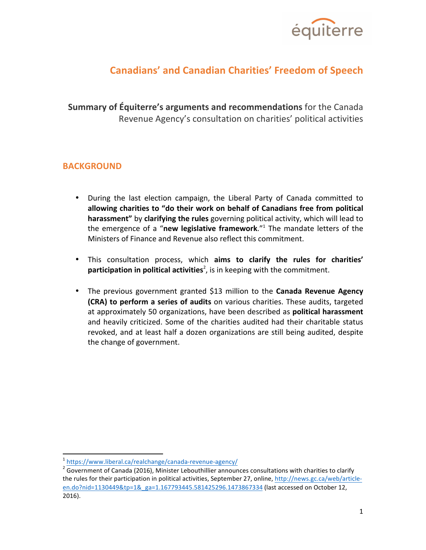

# **Canadians' and Canadian Charities' Freedom of Speech**

**Summary of Équiterre's arguments and recommendations** for the Canada Revenue Agency's consultation on charities' political activities

## **BACKGROUND**

- During the last election campaign, the Liberal Party of Canada committed to allowing charities to "do their work on behalf of Canadians free from political **harassment"** by **clarifying the rules** governing political activity, which will lead to the emergence of a "new legislative framework."<sup>1</sup> The mandate letters of the Ministers of Finance and Revenue also reflect this commitment.
- This consultation process, which aims to clarify the rules for charities' **participation in political activities**<sup>2</sup>, is in keeping with the commitment.
- The previous government granted \$13 million to the **Canada Revenue Agency (CRA)** to perform a series of audits on various charities. These audits, targeted at approximately 50 organizations, have been described as **political harassment** and heavily criticized. Some of the charities audited had their charitable status revoked, and at least half a dozen organizations are still being audited, despite the change of government.

<sup>&</sup>lt;sup>1</sup> https://www.liberal.ca/realchange/canada-revenue-agency/

 $\frac{1}{2}$  Government of Canada (2016), Minister Lebouthillier announces consultations with charities to clarify the rules for their participation in political activities, September 27, online, http://news.gc.ca/web/articleen.do?nid=1130449&tp=1&\_ga=1.167793445.581425296.1473867334 (last accessed on October 12, 2016).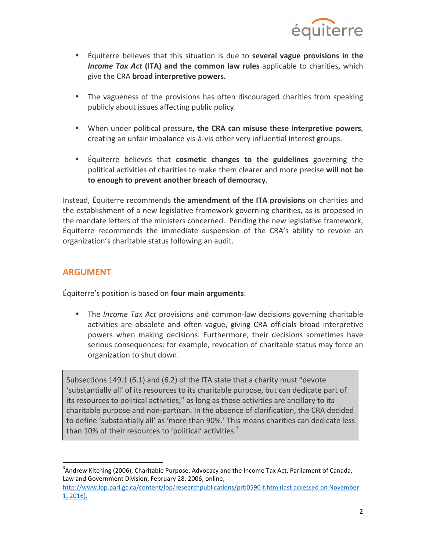

- Équiterre believes that this situation is due to **several vague provisions in the Income Tax Act (ITA) and the common law rules** applicable to charities, which give the CRA **broad interpretive powers.**
- The vagueness of the provisions has often discouraged charities from speaking publicly about issues affecting public policy.
- When under political pressure, **the CRA can misuse these interpretive powers**, creating an unfair imbalance vis-à-vis other very influential interest groups.
- Équiterre believes that **cosmetic changes to the guidelines** governing the political activities of charities to make them clearer and more precise will not be **to enough to prevent another breach of democracy.**

Instead, Équiterre recommends **the amendment of the ITA provisions** on charities and the establishment of a new legislative framework governing charities, as is proposed in the mandate letters of the ministers concerned. Pending the new legislative framework, Équiterre recommends the immediate suspension of the CRA's ability to revoke an organization's charitable status following an audit.

# **ARGUMENT**

 

Équiterre's position is based on **four main arguments**:

• The *Income Tax Act* provisions and common-law decisions governing charitable activities are obsolete and often vague, giving CRA officials broad interpretive powers when making decisions. Furthermore, their decisions sometimes have serious consequences: for example, revocation of charitable status may force an organization to shut down.

Subsections 149.1 (6.1) and (6.2) of the ITA state that a charity must "devote 'substantially all' of its resources to its charitable purpose, but can dedicate part of its resources to political activities," as long as those activities are ancillary to its charitable purpose and non-partisan. In the absence of clarification, the CRA decided to define 'substantially all' as 'more than 90%.' This means charities can dedicate less than 10% of their resources to 'political' activities.<sup>3</sup>

 $3$ Andrew Kitching (2006), Charitable Purpose, Advocacy and the Income Tax Act, Parliament of Canada, Law and Government Division, February 28, 2006, online,

http://www.lop.parl.gc.ca/content/lop/researchpublications/prb0590-f.htm (last accessed on November 1, 2016).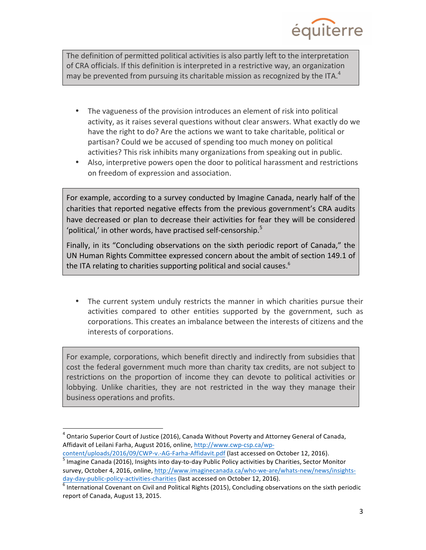

The definition of permitted political activities is also partly left to the interpretation of CRA officials. If this definition is interpreted in a restrictive way, an organization may be prevented from pursuing its charitable mission as recognized by the ITA.<sup>4</sup>

- The vagueness of the provision introduces an element of risk into political activity, as it raises several questions without clear answers. What exactly do we have the right to do? Are the actions we want to take charitable, political or partisan? Could we be accused of spending too much money on political activities? This risk inhibits many organizations from speaking out in public.
- Also, interpretive powers open the door to political harassment and restrictions on freedom of expression and association.

For example, according to a survey conducted by Imagine Canada, nearly half of the charities that reported negative effects from the previous government's CRA audits have decreased or plan to decrease their activities for fear they will be considered 'political,' in other words, have practised self-censorship.<sup>5</sup>

Finally, in its "Concluding observations on the sixth periodic report of Canada," the UN Human Rights Committee expressed concern about the ambit of section 149.1 of the ITA relating to charities supporting political and social causes.<sup>6</sup>

• The current system unduly restricts the manner in which charities pursue their activities compared to other entities supported by the government, such as corporations. This creates an imbalance between the interests of citizens and the interests of corporations.

For example, corporations, which benefit directly and indirectly from subsidies that cost the federal government much more than charity tax credits, are not subject to restrictions on the proportion of income they can devote to political activities or lobbying. Unlike charities, they are not restricted in the way they manage their business operations and profits.

 

 $\frac{\text{content/unloads}/2016/09/CWP-v.-AG-Farha-Affidavit.pdf}{\text{J}magine Canada}$  (last accessed on October 12, 2016). survey, October 4, 2016, online, http://www.imaginecanada.ca/who-we-are/whats-new/news/insights-

 $4$  Ontario Superior Court of Justice (2016), Canada Without Poverty and Attorney General of Canada, Affidavit of Leilani Farha, August 2016, online, http://www.cwp-csp.ca/wp-

day-day-public-policy-activities-charities (last accessed on October 12, 2016).<br>
<sup>6</sup> International Covenant on Civil and Political Rights (2015), Concluding observations on the sixth periodic report of Canada, August 13, 2015.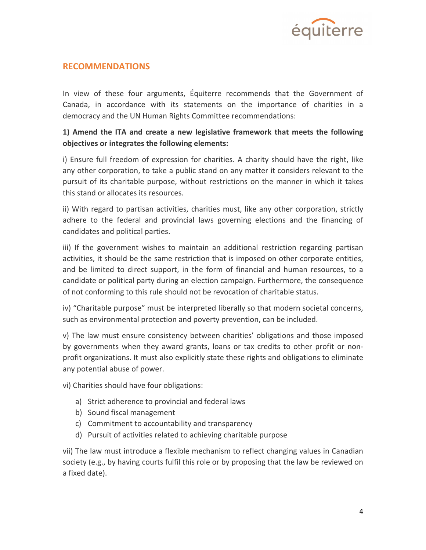

## **RECOMMENDATIONS**

In view of these four arguments, Équiterre recommends that the Government of Canada, in accordance with its statements on the importance of charities in a democracy and the UN Human Rights Committee recommendations:

#### **1)** Amend the ITA and create a new legislative framework that meets the following *<u>integrates</u>* **the following elements:**

i) Ensure full freedom of expression for charities. A charity should have the right, like any other corporation, to take a public stand on any matter it considers relevant to the pursuit of its charitable purpose, without restrictions on the manner in which it takes this stand or allocates its resources.

ii) With regard to partisan activities, charities must, like any other corporation, strictly adhere to the federal and provincial laws governing elections and the financing of candidates and political parties.

iii) If the government wishes to maintain an additional restriction regarding partisan activities, it should be the same restriction that is imposed on other corporate entities, and be limited to direct support, in the form of financial and human resources, to a candidate or political party during an election campaign. Furthermore, the consequence of not conforming to this rule should not be revocation of charitable status.

iv) "Charitable purpose" must be interpreted liberally so that modern societal concerns, such as environmental protection and poverty prevention, can be included.

v) The law must ensure consistency between charities' obligations and those imposed by governments when they award grants, loans or tax credits to other profit or nonprofit organizations. It must also explicitly state these rights and obligations to eliminate any potential abuse of power.

vi) Charities should have four obligations:

- a) Strict adherence to provincial and federal laws
- b) Sound fiscal management
- c) Commitment to accountability and transparency
- d) Pursuit of activities related to achieving charitable purpose

vii) The law must introduce a flexible mechanism to reflect changing values in Canadian society (e.g., by having courts fulfil this role or by proposing that the law be reviewed on a fixed date).